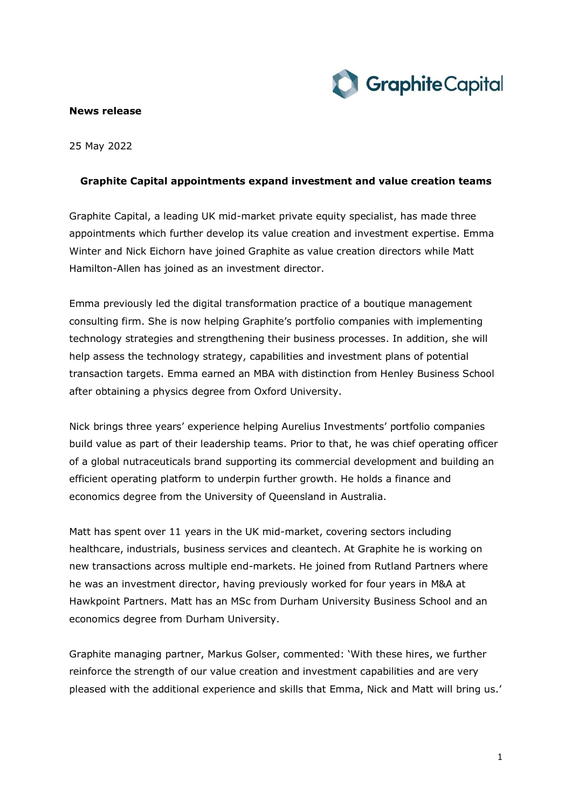

## **News release**

25 May 2022

## **Graphite Capital appointments expand investment and value creation teams**

Graphite Capital, a leading UK mid-market private equity specialist, has made three appointments which further develop its value creation and investment expertise. Emma Winter and Nick Eichorn have joined Graphite as value creation directors while Matt Hamilton-Allen has joined as an investment director.

Emma previously led the digital transformation practice of a boutique management consulting firm. She is now helping Graphite's portfolio companies with implementing technology strategies and strengthening their business processes. In addition, she will help assess the technology strategy, capabilities and investment plans of potential transaction targets. Emma earned an MBA with distinction from Henley Business School after obtaining a physics degree from Oxford University.

Nick brings three years' experience helping Aurelius Investments' portfolio companies build value as part of their leadership teams. Prior to that, he was chief operating officer of a global nutraceuticals brand supporting its commercial development and building an efficient operating platform to underpin further growth. He holds a finance and economics degree from the University of Queensland in Australia.

Matt has spent over 11 years in the UK mid-market, covering sectors including healthcare, industrials, business services and cleantech. At Graphite he is working on new transactions across multiple end-markets. He joined from Rutland Partners where he was an investment director, having previously worked for four years in M&A at Hawkpoint Partners. Matt has an MSc from Durham University Business School and an economics degree from Durham University.

Graphite managing partner, Markus Golser, commented: 'With these hires, we further reinforce the strength of our value creation and investment capabilities and are very pleased with the additional experience and skills that Emma, Nick and Matt will bring us.'